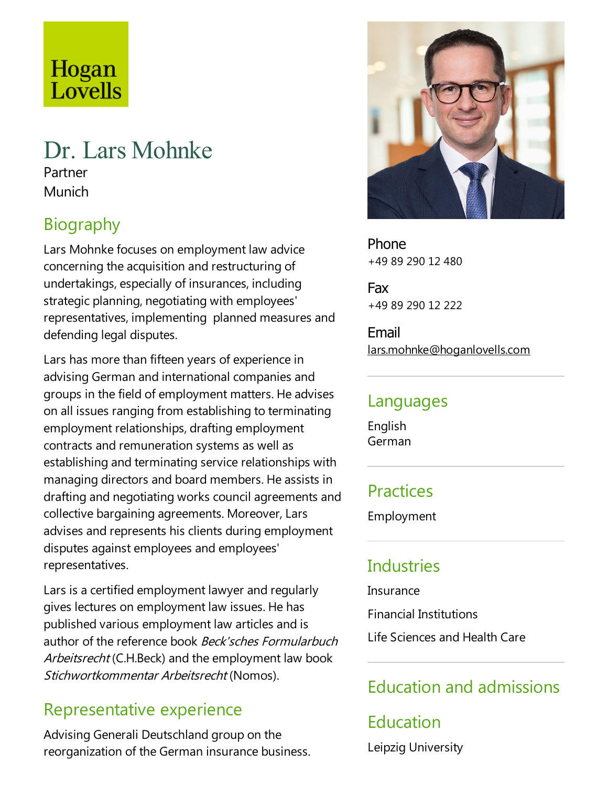# Hogan Lovells

# Dr. Lars Mohnke

Partner Munich

# Biography

Lars Mohnke focuses on employment law advice concerning the acquisition and restructuring of undertakings, especially of insurances, including strategic planning, negotiating with employees' representatives, implementing planned measures and defending legal disputes.

Lars has more than fifteen years of experience in advising German and international companies and groups in the field of employment matters. He advises on all issues ranging from establishing to terminating employment relationships, drafting employment contracts and remuneration systems as well as establishing and terminating service relationships with managing directors and board members. He assists in drafting and negotiating works council agreements and collective bargaining agreements. Moreover, Lars advises and represents his clients during employment disputes against employees and employees' representatives.

Lars is a certified employment lawyer and regularly gives lectures on employment law issues. He has published various employment law articles and is author of the reference book Beck'sches Formularbuch Arbeitsrecht (C.H.Beck) and the employment law book Stichwortkommentar Arbeitsrecht (Nomos).

#### Representative experience

Advising Generali Deutschland group on the reorganization of the German insurance business.



Phone +49 89 290 12 480

Fax +49 89 290 12 222

Email lars.mohnke@hoganlovells.com

#### Languages

English German

## **Practices**

Employment

# **Industries**

Insurance Financial Institutions

Life Sciences and Health Care

## Education and admissions

# Education Leipzig University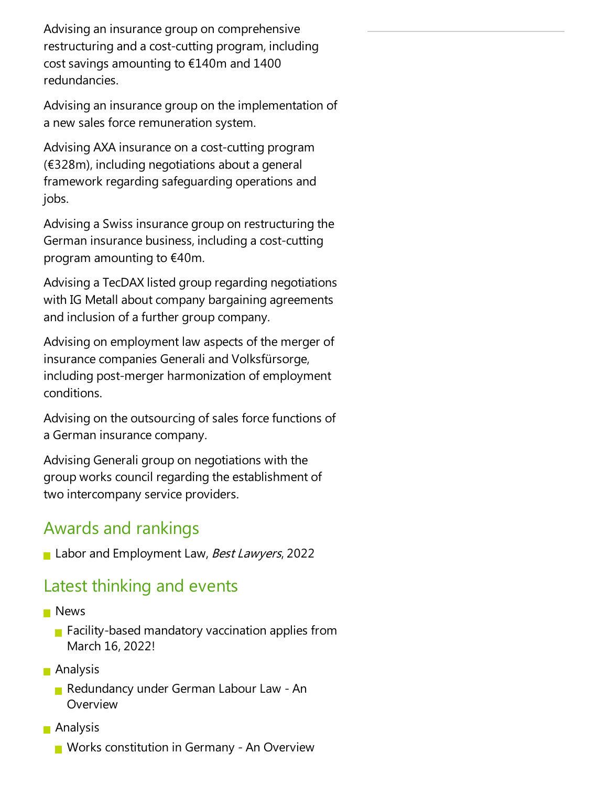Advising an insurance group on comprehensive restructuring and a cost-cutting program, including cost savings amounting to €140m and 1400 redundancies.

Advising an insurance group on the implementation of a new sales force remuneration system.

Advising AXA insurance on a cost-cutting program  $(6328m)$ , including negotiations about a general framework regarding safeguarding operations and jobs.

Advising a Swiss insurance group on restructuring the German insurance business, including a cost-cutting program amounting to €40m.

Advising aTecDAX listed group regarding negotiations with IG Metall about company bargaining agreements and inclusion of a further group company.

Advising on employment law aspects of the merger of insurance companies Generali and Volksfürsorge, including post-merger harmonization of employment conditions.

Advising on the outsourcing of sales force functions of a German insurance company.

Advising Generali group on negotiations with the group works council regarding the establishment of two intercompany service providers.

#### Awards and rankings

Labor and Employment Law, Best Lawyers, 2022

## Latest thinking and events

- **News** 
	- **Facility-based mandatory vaccination applies from** March 16, 2022!
- Analysis
	- Redundancy under German Labour Law An Overview
- **Analysis** 
	- **Norks constitution in Germany An Overview**